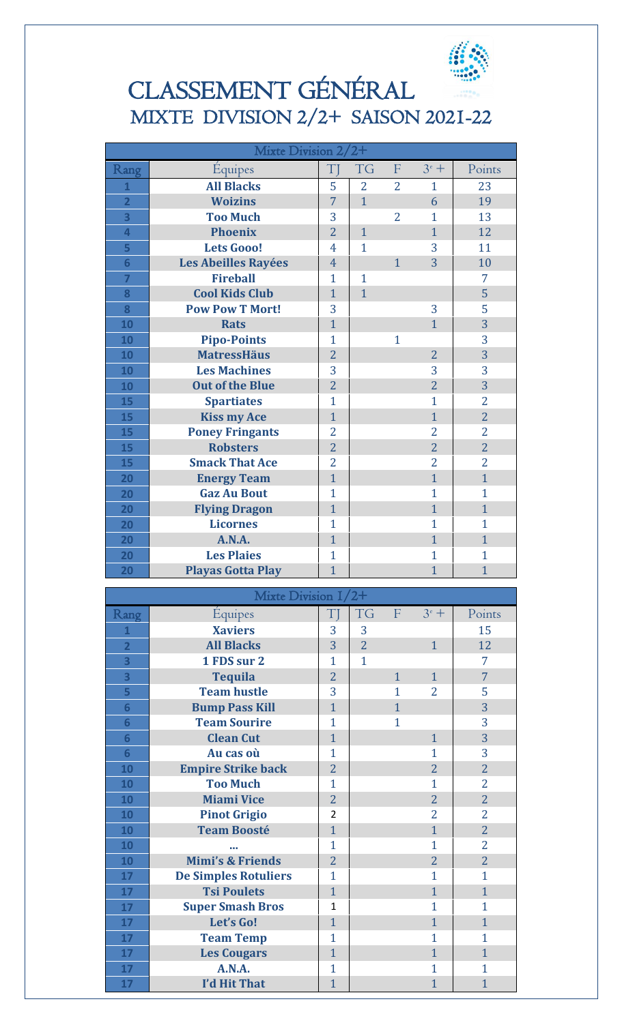

## CLASSEMENT GÉNÉRAL MIXTE DIVISION 2/2+ SAISON 2021-22

| Mixte Division $2/2+$   |                                  |                |                |                |                |                |
|-------------------------|----------------------------------|----------------|----------------|----------------|----------------|----------------|
| Rang                    | Equipes                          | T              | TG             | F              | $3^e$ +        | Points         |
| $\overline{1}$          | <b>All Blacks</b>                | 5              | $\overline{2}$ | $\overline{2}$ | 1              | 23             |
| $\overline{\mathbf{2}}$ | <b>Woizins</b>                   | $\overline{7}$ | $\mathbf{1}$   |                | 6              | 19             |
| $\overline{\mathbf{3}}$ | <b>Too Much</b>                  | 3              |                | $\overline{2}$ | $\mathbf{1}$   | 13             |
| 4                       | <b>Phoenix</b>                   | $\overline{2}$ | $\mathbf{1}$   |                | $\mathbf{1}$   | 12             |
| 5                       | <b>Lets Gooo!</b>                | 4              | $\mathbf{1}$   |                | 3              | 11             |
| $6\phantom{a}$          | Les Abeilles Rayées              | $\overline{4}$ |                | $\mathbf{1}$   | 3              | 10             |
| $\overline{7}$          | <b>Fireball</b>                  | $\mathbf{1}$   | $\mathbf{1}$   |                |                | 7              |
| 8                       | <b>Cool Kids Club</b>            | $\mathbf{1}$   | $\overline{1}$ |                |                | 5              |
| 8                       | <b>Pow Pow T Mort!</b>           | 3              |                |                | 3              | 5              |
| 10                      | <b>Rats</b>                      | $\mathbf{1}$   |                |                | $\mathbf{1}$   | 3              |
| 10                      | <b>Pipo-Points</b>               | $\mathbf{1}$   |                | 1              |                | 3              |
| 10                      | <b>MatressHäus</b>               | $\overline{2}$ |                |                | $\overline{2}$ | $\overline{3}$ |
| 10                      | <b>Les Machines</b>              | 3              |                |                | 3              | 3              |
| 10                      | <b>Out of the Blue</b>           | $\overline{2}$ |                |                | $\overline{2}$ | 3              |
| 15                      | <b>Spartiates</b>                | $\mathbf{1}$   |                |                | $\mathbf{1}$   | $\overline{2}$ |
| 15                      | <b>Kiss my Ace</b>               | $\mathbf{1}$   |                |                | $\mathbf{1}$   | $\overline{2}$ |
| 15                      | <b>Poney Fringants</b>           | $\overline{2}$ |                |                | $\overline{2}$ | $\overline{2}$ |
| 15                      | <b>Robsters</b>                  | $\overline{2}$ |                |                | $\overline{2}$ | $\overline{2}$ |
| 15                      | <b>Smack That Ace</b>            | $\overline{2}$ |                |                | $\overline{2}$ | $\overline{2}$ |
| 20                      | <b>Energy Team</b>               | $\mathbf{1}$   |                |                | $\mathbf{1}$   | $\mathbf{1}$   |
| 20                      | <b>Gaz Au Bout</b>               | $\mathbf{1}$   |                |                | $\mathbf{1}$   | $\mathbf{1}$   |
| 20                      | <b>Flying Dragon</b>             | $\mathbf{1}$   |                |                | $\mathbf{1}$   | $\mathbf{1}$   |
| 20                      | <b>Licornes</b>                  | $\mathbf{1}$   |                |                | $\mathbf{1}$   | $\mathbf{1}$   |
| 20                      | A.N.A.                           | $\mathbf{1}$   |                |                | $\mathbf{1}$   | $\mathbf{1}$   |
| 20                      | <b>Les Plaies</b>                | $\mathbf{1}$   |                |                | $\mathbf{1}$   | $\mathbf{1}$   |
|                         |                                  |                |                |                |                |                |
|                         |                                  |                |                |                |                |                |
| 20                      | <b>Playas Gotta Play</b>         | $\overline{1}$ |                |                | $\mathbf{1}$   | $\mathbf{1}$   |
|                         | Mixte Division 1/2+              |                |                |                |                |                |
|                         |                                  | $T$ ]          | TG             | $\mathbf{F}$   | $3^e$ +        | Points         |
| Rang<br>1               | <b>Équipes</b><br><b>Xaviers</b> | 3              | 3              |                |                | 15             |
| $\overline{\mathbf{2}}$ | <b>All Blacks</b>                | 3              | $\overline{2}$ |                | $\mathbf{1}$   | 12             |
| $\overline{\mathbf{3}}$ | 1 FDS sur 2                      | $\mathbf{1}$   | $\mathbf{1}$   |                |                | 7              |
| $\overline{\mathbf{3}}$ | <b>Tequila</b>                   | $\overline{2}$ |                | $\mathbf{1}$   | $\mathbf{1}$   | $\overline{7}$ |
| 5                       | <b>Team hustle</b>               | 3              |                | 1              | 2              | 5              |
| $6\phantom{1}6$         | <b>Bump Pass Kill</b>            | $\mathbf{1}$   |                | $\mathbf{1}$   |                | 3              |
| $6\phantom{1}6$         | <b>Team Sourire</b>              | $\mathbf{1}$   |                | $\mathbf{1}$   |                | 3              |
| $6\phantom{1}$          | <b>Clean Cut</b>                 | $\mathbf{1}$   |                |                | $\mathbf{1}$   | $\overline{3}$ |
| $6\phantom{1}$          | Au cas où                        | $\mathbf{1}$   |                |                | 1              | 3              |
| 10                      | <b>Empire Strike back</b>        | $\overline{2}$ |                |                | $\overline{2}$ | $\overline{2}$ |
| 10                      | <b>Too Much</b>                  | $\mathbf{1}$   |                |                | $\mathbf{1}$   | 2              |
| 10                      | <b>Miami Vice</b>                | $\overline{2}$ |                |                | $\overline{2}$ | $\overline{2}$ |
| 10                      | <b>Pinot Grigio</b>              | 2              |                |                | 2              | 2              |
| 10                      | <b>Team Boosté</b>               | $\mathbf{1}$   |                |                | $\mathbf{1}$   | $\overline{2}$ |
| 10                      |                                  | $\mathbf{1}$   |                |                | $\mathbf{1}$   | $\overline{2}$ |
| 10                      | <b>Mimi's &amp; Friends</b>      | $\overline{2}$ |                |                | $\overline{2}$ | $\overline{2}$ |
| 17                      | <b>De Simples Rotuliers</b>      | $\mathbf{1}$   |                |                | 1              | $\mathbf{1}$   |
| 17                      | <b>Tsi Poulets</b>               | $\mathbf{1}$   |                |                | $\mathbf{1}$   | $\mathbf{1}$   |
| 17                      | <b>Super Smash Bros</b>          | $\mathbf{1}$   |                |                | $\mathbf{1}$   | $\mathbf{1}$   |
| 17                      | Let's Go!                        | $\mathbf{1}$   |                |                | $\mathbf{1}$   | $\mathbf{1}$   |
| 17                      | <b>Team Temp</b>                 | $\mathbf{1}$   |                |                | $\mathbf{1}$   | $\mathbf{1}$   |
| 17                      | <b>Les Cougars</b>               | $\mathbf{1}$   |                |                | $\mathbf{1}$   | $\mathbf{1}$   |
| 17                      | A.N.A.                           | $\mathbf{1}$   |                |                | $\mathbf{1}$   | $\mathbf{1}$   |